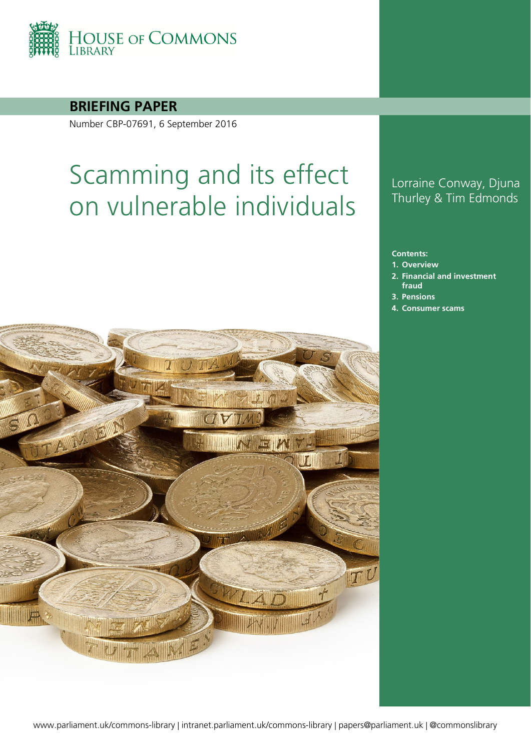

### **BRIEFING PAPER**

Number CBP-07691, 6 September 2016

# Scamming and its effect on vulnerable individuals



### Lorraine Conway, Djuna Thurley & Tim Edmonds

#### **Contents:**

- **1. [Overview](#page-4-0)**
- **2. [Financial and investment](#page-5-0)  [fraud](#page-5-0)**
- **3. [Pensions](#page-8-0)**
- **4. [Consumer scams](#page-13-0)**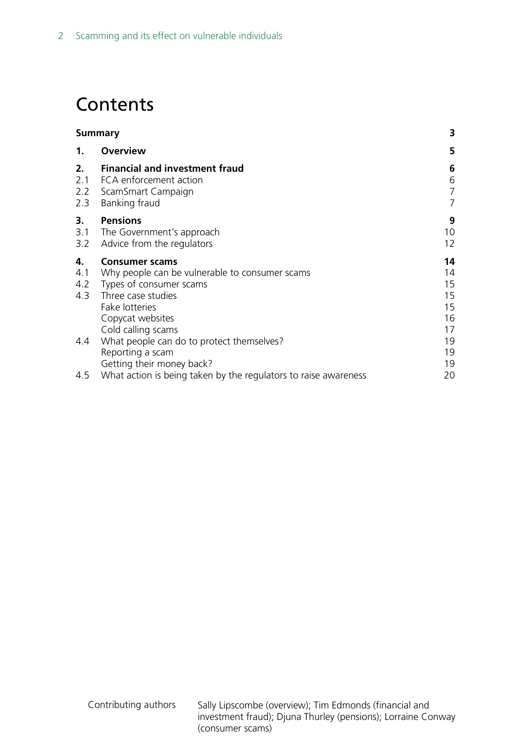# **Contents**

| <b>Summary</b>          |                                                                                                                                                                                      | 3                                      |
|-------------------------|--------------------------------------------------------------------------------------------------------------------------------------------------------------------------------------|----------------------------------------|
| 1.                      | <b>Overview</b>                                                                                                                                                                      | 5                                      |
| 2.<br>2.2<br>2.3        | <b>Financial and investment fraud</b><br>2.1 FCA enforcement action<br>ScamSmart Campaign<br>Banking fraud                                                                           | 6<br>6<br>7<br>$\overline{7}$          |
| 3.<br>3.1<br>3.2        | <b>Pensions</b><br>The Government's approach<br>Advice from the regulators                                                                                                           | 9<br>10<br>12                          |
| 4.<br>4.1<br>4.2<br>4.3 | <b>Consumer scams</b><br>Why people can be vulnerable to consumer scams<br>Types of consumer scams<br>Three case studies<br>Fake lotteries<br>Copycat websites<br>Cold calling scams | 14<br>14<br>15<br>15<br>15<br>16<br>17 |
| 4.4                     | What people can do to protect themselves?<br>Reporting a scam<br>Getting their money back?                                                                                           | 19<br>19<br>19                         |
| 4.5                     | What action is being taken by the regulators to raise awareness                                                                                                                      | 20                                     |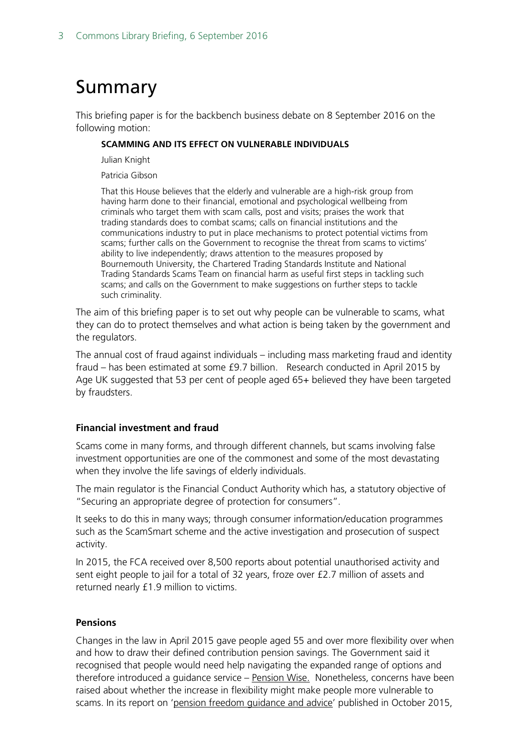# <span id="page-2-0"></span>Summary

This briefing paper is for the backbench business debate on 8 September 2016 on the following motion:

#### **SCAMMING AND ITS EFFECT ON VULNERABLE INDIVIDUALS**

Julian Knight

Patricia Gibson

That this House believes that the elderly and vulnerable are a high-risk group from having harm done to their financial, emotional and psychological wellbeing from criminals who target them with scam calls, post and visits; praises the work that trading standards does to combat scams; calls on financial institutions and the communications industry to put in place mechanisms to protect potential victims from scams; further calls on the Government to recognise the threat from scams to victims' ability to live independently; draws attention to the measures proposed by Bournemouth University, the Chartered Trading Standards Institute and National Trading Standards Scams Team on financial harm as useful first steps in tackling such scams; and calls on the Government to make suggestions on further steps to tackle such criminality.

The aim of this briefing paper is to set out why people can be vulnerable to scams, what they can do to protect themselves and what action is being taken by the government and the regulators.

The annual cost of fraud against individuals – including mass marketing fraud and identity fraud – has been estimated at some £9.7 billion. Research conducted in April 2015 by Age UK suggested that 53 per cent of people aged 65+ believed they have been targeted by fraudsters.

#### **Financial investment and fraud**

Scams come in many forms, and through different channels, but scams involving false investment opportunities are one of the commonest and some of the most devastating when they involve the life savings of elderly individuals.

The main regulator is the Financial Conduct Authority which has, a statutory objective of "Securing an appropriate degree of protection for consumers".

It seeks to do this in many ways; through consumer information/education programmes such as the ScamSmart scheme and the active investigation and prosecution of suspect activity.

In 2015, the FCA received over 8,500 reports about potential unauthorised activity and sent eight people to jail for a total of 32 years, froze over £2.7 million of assets and returned nearly £1.9 million to victims.

#### **Pensions**

Changes in the law in April 2015 gave people aged 55 and over more flexibility over when and how to draw their defined contribution pension savings. The Government said it recognised that people would need help navigating the expanded range of options and therefore introduced a guidance service – [Pension Wise.](https://www.gov.uk/government/news/pension-wise-unveiled) Nonetheless, concerns have been raised about whether the increase in flexibility might make people more vulnerable to scams. In its report on ['pension freedom guidance and advice'](http://www.publications.parliament.uk/pa/cm201516/cmselect/cmworpen/371/37102.html) published in October 2015,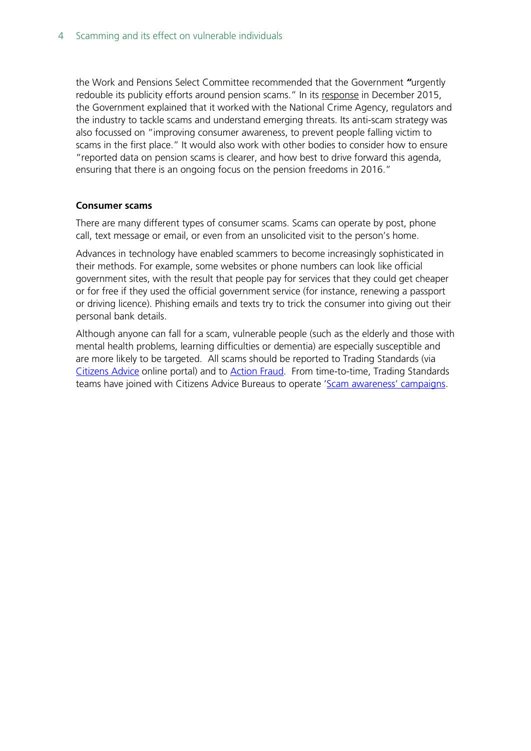the Work and Pensions Select Committee recommended that the Government *"*urgently redouble its publicity efforts around pension scams." In its [response](https://www.gov.uk/government/uploads/system/uploads/attachment_data/file/486158/WPSC_response_final_web.pdf) in December 2015, the Government explained that it worked with the National Crime Agency, regulators and the industry to tackle scams and understand emerging threats. Its anti-scam strategy was also focussed on "improving consumer awareness, to prevent people falling victim to scams in the first place." It would also work with other bodies to consider how to ensure "reported data on pension scams is clearer, and how best to drive forward this agenda, ensuring that there is an ongoing focus on the pension freedoms in 2016."

#### **Consumer scams**

There are many different types of consumer scams. Scams can operate by post, phone call, text message or email, or even from an unsolicited visit to the person's home.

Advances in technology have enabled scammers to become increasingly sophisticated in their methods. For example, some websites or phone numbers can look like official government sites, with the result that people pay for services that they could get cheaper or for free if they used the official government service (for instance, renewing a passport or driving licence). Phishing emails and texts try to trick the consumer into giving out their personal bank details.

Although anyone can fall for a scam, vulnerable people (such as the elderly and those with mental health problems, learning difficulties or dementia) are especially susceptible and are more likely to be targeted. All scams should be reported to Trading Standards (via [Citizens Advice](https://www.citizensadvice.org.uk/consumer/get-more-help/if-you-need-more-help-about-a-consumer-issue/) online portal) and to [Action Fraud.](http://www.actionfraud.police.uk/report_fraud) From time-to-time, Trading Standards teams have joined with Citizens Advice Bureaus to operate ['Scam awareness' campaigns.](http://www.tradingstandards.uk/events/ScamsAwarenessMonth2015.cfm)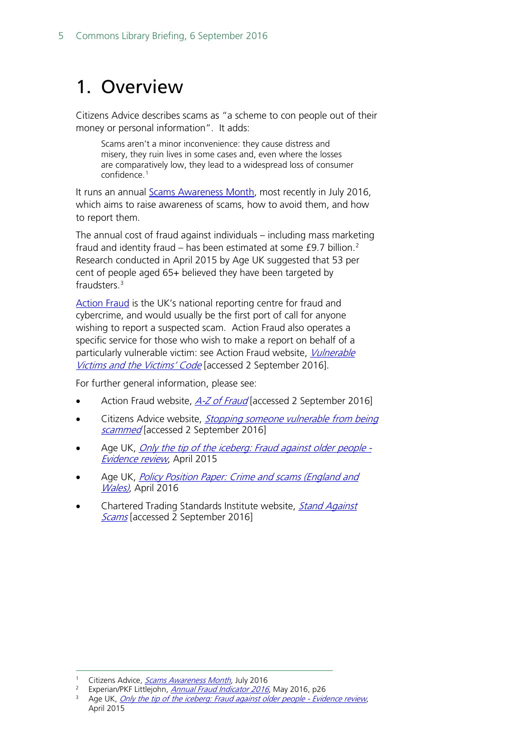# <span id="page-4-0"></span>1. Overview

Citizens Advice describes scams as "a scheme to con people out of their money or personal information". It adds:

Scams aren't a minor inconvenience: they cause distress and misery, they ruin lives in some cases and, even where the losses are comparatively low, they lead to a widespread loss of consumer confidence.[1](#page-4-1)

It runs an annual [Scams Awareness Month,](https://www.citizensadvice.org.uk/about-us/campaigns/current_campaigns/scams-awareness-month/) most recently in July 2016, which aims to raise awareness of scams, how to avoid them, and how to report them.

The annual cost of fraud against individuals – including mass marketing fraud and identity fraud – has been estimated at some  $f9.7$  billion.<sup>[2](#page-4-2)</sup> Research conducted in April 2015 by Age UK suggested that 53 per cent of people aged 65+ believed they have been targeted by fraudsters.[3](#page-4-3)

[Action Fraud](http://www.actionfraud.police.uk/) is the UK's national reporting centre for fraud and cybercrime, and would usually be the first port of call for anyone wishing to report a suspected scam. Action Fraud also operates a specific service for those who wish to make a report on behalf of a particularly vulnerable victim: see Action Fraud website, *Vulnerable* [Victims and the Victims' Code](http://www.actionfraud.police.uk/vulnerable_victims) [accessed 2 September 2016].

For further general information, please see:

- Action Fraud website, [A-Z of Fraud](http://www.actionfraud.police.uk/a-z_of_fraud) [accessed 2 September 2016]
- Citizens Advice website, *Stopping someone vulnerable from being* [scammed](https://www.citizensadvice.org.uk/consumer/scams/scams/vulnerable-people-and-scams/stopping-someone-vulnerable-from-being-scammed/) [accessed 2 September 2016]
- Age UK, [Only the tip of the iceberg: Fraud against older people -](http://www.ageuk.org.uk/Documents/EN-GB/Press%20releases/Age%20UK%20Only%20the%20tip%20of%20the%20iceberg%20April%202015.pdf?dtrk=true) [Evidence review](http://www.ageuk.org.uk/Documents/EN-GB/Press%20releases/Age%20UK%20Only%20the%20tip%20of%20the%20iceberg%20April%202015.pdf?dtrk=true), April 2015
- Age UK, Policy Position Paper: Crime and scams (England and [Wales\)](http://www.ageuk.org.uk/documents/en-gb/for-professionals/policy/housing/ppp_crime_and_scams_england_and_wales.pdf?dtrk=true), April 2016
- Chartered Trading Standards Institute website, Stand Against [Scams](http://www.tradingstandards.uk/policy/standagainstscams.cfm?frmAlias=/standagainstscams/) [accessed 2 September 2016]

Citizens Advice, [Scams Awareness Month](https://www.citizensadvice.org.uk/Global/Public/Campaigns/sam16/sam16-briefing.pdf), July 2016

<span id="page-4-2"></span><span id="page-4-1"></span><sup>&</sup>lt;sup>2</sup> Experian/PKF Littlejohn, *[Annual Fraud Indicator 2016](http://www.port.ac.uk/media/contacts-and-departments/icjs/ccfs/Annual-Fraud-Indicator-2016.pdf)*, May 2016, p26

<span id="page-4-3"></span><sup>&</sup>lt;sup>3</sup> Age UK, *[Only the tip of the iceberg: Fraud against older people -](http://www.ageuk.org.uk/Documents/EN-GB/Press%20releases/Age%20UK%20Only%20the%20tip%20of%20the%20iceberg%20April%202015.pdf?dtrk=true) Evidence review*, April 2015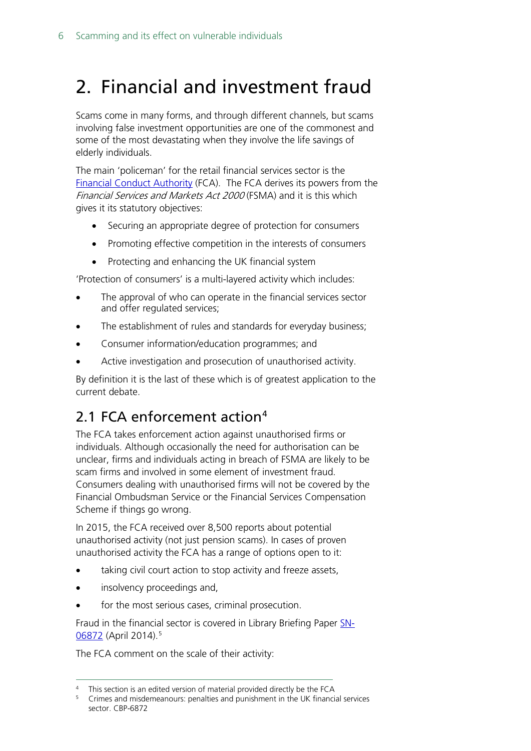# <span id="page-5-0"></span>2. Financial and investment fraud

Scams come in many forms, and through different channels, but scams involving false investment opportunities are one of the commonest and some of the most devastating when they involve the life savings of elderly individuals.

The main 'policeman' for the retail financial services sector is the [Financial Conduct Authority](https://www.fca.org.uk/) (FCA). The FCA derives its powers from the Financial Services and Markets Act 2000 (FSMA) and it is this which gives it its statutory objectives:

- Securing an appropriate degree of protection for consumers
- Promoting effective competition in the interests of consumers
- Protecting and enhancing the UK financial system

'Protection of consumers' is a multi-layered activity which includes:

- The approval of who can operate in the financial services sector and offer regulated services;
- The establishment of rules and standards for everyday business;
- Consumer information/education programmes; and
- Active investigation and prosecution of unauthorised activity.

By definition it is the last of these which is of greatest application to the current debate.

# <span id="page-5-1"></span>2.1 FCA enforcement action<sup>[4](#page-5-2)</sup>

The FCA takes enforcement action against unauthorised firms or individuals. Although occasionally the need for authorisation can be unclear, firms and individuals acting in breach of FSMA are likely to be scam firms and involved in some element of investment fraud. Consumers dealing with unauthorised firms will not be covered by the Financial Ombudsman Service or the Financial Services Compensation Scheme if things go wrong.

In 2015, the FCA received over 8,500 reports about potential unauthorised activity (not just pension scams). In cases of proven unauthorised activity the FCA has a range of options open to it:

- taking civil court action to stop activity and freeze assets,
- insolvency proceedings and,
- for the most serious cases, criminal prosecution.

Fraud in the financial sector is covered in Library Briefing Paper [SN-](http://researchbriefings.parliament.uk/ResearchBriefing/Summary/SN06872)<u>[06872](http://researchbriefings.parliament.uk/ResearchBriefing/Summary/SN06872)</u> (April 2014).<sup>[5](#page-5-3)</sup>

The FCA comment on the scale of their activity:

<span id="page-5-2"></span><sup>&</sup>lt;sup>4</sup> This section is an edited version of material provided directly be the FCA

<span id="page-5-3"></span><sup>&</sup>lt;sup>5</sup> Crimes and misdemeanours: penalties and punishment in the UK financial services sector. CBP-6872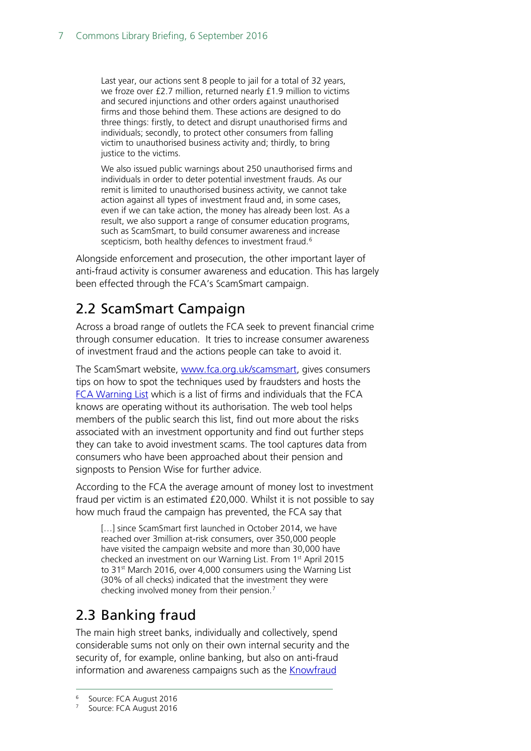Last year, our actions sent 8 people to jail for a total of 32 years, we froze over £2.7 million, returned nearly £1.9 million to victims and secured injunctions and other orders against unauthorised firms and those behind them. These actions are designed to do three things: firstly, to detect and disrupt unauthorised firms and individuals; secondly, to protect other consumers from falling victim to unauthorised business activity and; thirdly, to bring justice to the victims.

We also issued public warnings about 250 unauthorised firms and individuals in order to deter potential investment frauds. As our remit is limited to unauthorised business activity, we cannot take action against all types of investment fraud and, in some cases, even if we can take action, the money has already been lost. As a result, we also support a range of consumer education programs, such as ScamSmart, to build consumer awareness and increase scepticism, both healthy defences to investment fraud.<sup>[6](#page-6-2)</sup>

Alongside enforcement and prosecution, the other important layer of anti-fraud activity is consumer awareness and education. This has largely been effected through the FCA's ScamSmart campaign.

# <span id="page-6-0"></span>2.2 ScamSmart Campaign

Across a broad range of outlets the FCA seek to prevent financial crime through consumer education. It tries to increase consumer awareness of investment fraud and the actions people can take to avoid it.

The ScamSmart website, [www.fca.org.uk/scamsmart,](http://www.fca.org.uk/scamsmart) gives consumers tips on how to spot the techniques used by fraudsters and hosts the [FCA Warning List](http://scamsmart.fca.org.uk/warninglist/) which is a list of firms and individuals that the FCA knows are operating without its authorisation. The web tool helps members of the public search this list, find out more about the risks associated with an investment opportunity and find out further steps they can take to avoid investment scams. The tool captures data from consumers who have been approached about their pension and signposts to Pension Wise for further advice.

According to the FCA the average amount of money lost to investment fraud per victim is an estimated £20,000. Whilst it is not possible to say how much fraud the campaign has prevented, the FCA say that

[...] since ScamSmart first launched in October 2014, we have reached over 3million at-risk consumers, over 350,000 people have visited the campaign website and more than 30,000 have checked an investment on our Warning List. From 1st April 2015 to 31<sup>st</sup> March 2016, over 4,000 consumers using the Warning List (30% of all checks) indicated that the investment they were checking involved money from their pension. [7](#page-6-3)

# <span id="page-6-1"></span>2.3 Banking fraud

The main high street banks, individually and collectively, spend considerable sums not only on their own internal security and the security of, for example, online banking, but also on anti-fraud information and awareness campaigns such as the [Knowfraud](https://www.bba.org.uk/landingpage/know-fraud/)

<span id="page-6-2"></span> <sup>6</sup> Source: FCA August 2016

<span id="page-6-3"></span>Source: FCA August 2016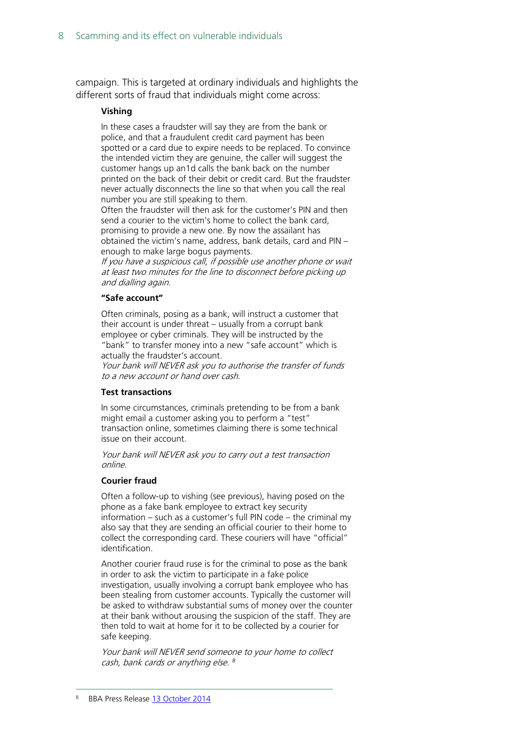campaign. This is targeted at ordinary individuals and highlights the different sorts of fraud that individuals might come across:

#### **Vishing**

In these cases a fraudster will say they are from the bank or police, and that a fraudulent credit card payment has been spotted or a card due to expire needs to be replaced. To convince the intended victim they are genuine, the caller will suggest the customer hangs up an1d calls the bank back on the number printed on the back of their debit or credit card. But the fraudster never actually disconnects the line so that when you call the real number you are still speaking to them.

Often the fraudster will then ask for the customer's PIN and then send a courier to the victim's home to collect the bank card, promising to provide a new one. By now the assailant has obtained the victim's name, address, bank details, card and PIN – enough to make large bogus payments.

If you have a suspicious call, if possible use another phone or wait at least two minutes for the line to disconnect before picking up and dialling again.

#### **"Safe account"**

Often criminals, posing as a bank, will instruct a customer that their account is under threat – usually from a corrupt bank employee or cyber criminals. They will be instructed by the "bank" to transfer money into a new "safe account" which is actually the fraudster's account.

Your bank will NEVER ask you to authorise the transfer of funds to a new account or hand over cash.

#### **Test transactions**

In some circumstances, criminals pretending to be from a bank might email a customer asking you to perform a "test" transaction online, sometimes claiming there is some technical issue on their account.

Your bank will NEVER ask you to carry out a test transaction online.

#### **Courier fraud**

Often a follow-up to vishing (see previous), having posed on the phone as a fake bank employee to extract key security information – such as a customer's full PIN code – the criminal my also say that they are sending an official courier to their home to collect the corresponding card. These couriers will have "official" identification.

Another courier fraud ruse is for the criminal to pose as the bank in order to ask the victim to participate in a fake police investigation, usually involving a corrupt bank employee who has been stealing from customer accounts. Typically the customer will be asked to withdraw substantial sums of money over the counter at their bank without arousing the suspicion of the staff. They are then told to wait at home for it to be collected by a courier for safe keeping.

<span id="page-7-0"></span>Your bank will NEVER send someone to your home to collect cash, bank cards or anything else. *[8](#page-7-0)*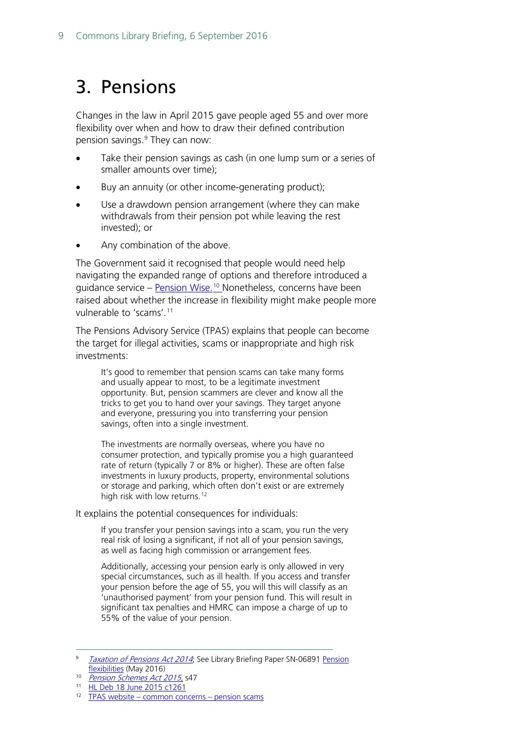# <span id="page-8-0"></span>3. Pensions

Changes in the law in April 2015 gave people aged 55 and over more flexibility over when and how to draw their defined contribution pension savings.<sup>[9](#page-8-1)</sup> They can now:

- Take their pension savings as cash (in one lump sum or a series of smaller amounts over time);
- Buy an annuity (or other income-generating product);
- Use a drawdown pension arrangement (where they can make withdrawals from their pension pot while leaving the rest invested); or
- Any combination of the above.

The Government said it recognised that people would need help navigating the expanded range of options and therefore introduced a guidance service – <u>[Pension Wise.](https://www.gov.uk/government/news/pension-wise-unveiled)<sup>[10](#page-8-2)</sup> Nonetheless</u>, concerns have been raised about whether the increase in flexibility might make people more vulnerable to 'scams'. [11](#page-8-3)

The Pensions Advisory Service (TPAS) explains that people can become the target for illegal activities, scams or inappropriate and high risk investments:

It's good to remember that pension scams can take many forms and usually appear to most, to be a legitimate investment opportunity. But, pension scammers are clever and know all the tricks to get you to hand over your savings. They target anyone and everyone, pressuring you into transferring your pension savings, often into a single investment.

The investments are normally overseas, where you have no consumer protection, and typically promise you a high guaranteed rate of return (typically 7 or 8% or higher). These are often false investments in luxury products, property, environmental solutions or storage and parking, which often don't exist or are extremely high risk with low returns.<sup>[12](#page-8-4)</sup>

It explains the potential consequences for individuals:

If you transfer your pension savings into a scam, you run the very real risk of losing a significant, if not all of your pension savings, as well as facing high commission or arrangement fees.

Additionally, accessing your pension early is only allowed in very special circumstances, such as ill health. If you access and transfer your pension before the age of 55, you will this will classify as an 'unauthorised payment' from your pension fund. This will result in significant tax penalties and HMRC can impose a charge of up to 55% of the value of your pension.

<span id="page-8-1"></span>[Taxation of Pensions Act 2014](http://www.legislation.gov.uk/ukpga/2014/30/contents); See Library Briefing Paper SN-06891 Pension [flexibilities](http://researchbriefings.parliament.uk/ResearchBriefing/Summary/SN06891) (May 2016)

<span id="page-8-2"></span><sup>&</sup>lt;sup>10</sup> [Pension Schemes Act 2015,](http://www.legislation.gov.uk/ukpga/2015/8/contents/enacted) s47

<span id="page-8-3"></span> $\frac{11}{12}$  [HL Deb 18 June 2015 c126](http://www.publications.parliament.uk/pa/ld201516/ldhansrd/text/150618-0001.htm#15061884000279)1

<span id="page-8-4"></span>TPAS website – [common concerns –](http://www.pensionsadvisoryservice.org.uk/pension-problems/making-a-complaint/common-concerns/pension-scams) pension scams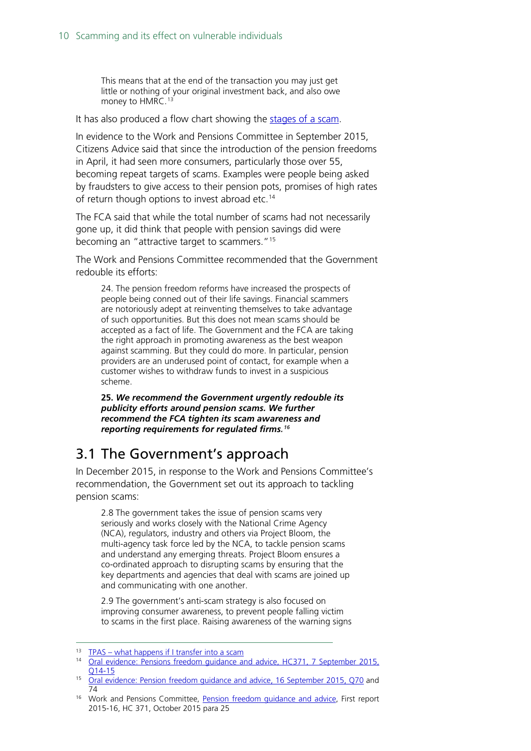This means that at the end of the transaction you may just get little or nothing of your original investment back, and also owe money to HMRC.<sup>[13](#page-9-1)</sup>

It has also produced a flow chart showing the [stages of a scam.](http://www.pensionsadvisoryservice.org.uk/news/scams-awareness-month-2016)

In evidence to the Work and Pensions Committee in September 2015, Citizens Advice said that since the introduction of the pension freedoms in April, it had seen more consumers, particularly those over 55, becoming repeat targets of scams. Examples were people being asked by fraudsters to give access to their pension pots, promises of high rates of return though options to invest abroad etc.<sup>[14](#page-9-2)</sup>

The FCA said that while the total number of scams had not necessarily gone up, it did think that people with pension savings did were becoming an "attractive target to scammers."<sup>[15](#page-9-3)</sup>

The Work and Pensions Committee recommended that the Government redouble its efforts:

24. The pension freedom reforms have increased the prospects of people being conned out of their life savings. Financial scammers are notoriously adept at reinventing themselves to take advantage of such opportunities. But this does not mean scams should be accepted as a fact of life. The Government and the FCA are taking the right approach in promoting awareness as the best weapon against scamming. But they could do more. In particular, pension providers are an underused point of contact, for example when a customer wishes to withdraw funds to invest in a suspicious scheme.

**25.** *We recommend the Government urgently redouble its publicity efforts around pension scams. We further recommend the FCA tighten its scam awareness and reporting requirements for regulated firms. [16](#page-9-4)*

### <span id="page-9-0"></span>3.1 The Government's approach

In December 2015, in response to the Work and Pensions Committee's recommendation, the Government set out its approach to tackling pension scams:

2.8 The government takes the issue of pension scams very seriously and works closely with the National Crime Agency (NCA), regulators, industry and others via Project Bloom, the multi-agency task force led by the NCA, to tackle pension scams and understand any emerging threats. Project Bloom ensures a co-ordinated approach to disrupting scams by ensuring that the key departments and agencies that deal with scams are joined up and communicating with one another.

2.9 The government's anti-scam strategy is also focused on improving consumer awareness, to prevent people falling victim to scams in the first place. Raising awareness of the warning signs

<span id="page-9-1"></span><sup>13</sup> TPAS – [what happens if I transfer into a scam](http://www.pensionsadvisoryservice.org.uk/pension-problems/making-a-complaint/common-concerns/pension-scams)

<span id="page-9-2"></span><sup>&</sup>lt;sup>14</sup> [Oral evidence: Pensions freedom guidance and advice, HC371,](http://data.parliament.uk/writtenevidence/committeeevidence.svc/evidencedocument/work-and-pensions-committee/pensions-freedom-guidance-and-advice/oral/21254.pdf) 7 September 2015, [Q14-](http://data.parliament.uk/writtenevidence/committeeevidence.svc/evidencedocument/work-and-pensions-committee/pensions-freedom-guidance-and-advice/oral/21254.pdf)15

<span id="page-9-3"></span><sup>&</sup>lt;sup>15</sup> [Oral evidence: Pension freedom guidance and advice, 16 September 2015, Q70](http://data.parliament.uk/writtenevidence/committeeevidence.svc/evidencedocument/work-and-pensions-committee/pensions-freedom-guidance-and-advice/oral/21796.html) and 74

<span id="page-9-4"></span><sup>&</sup>lt;sup>16</sup> Work and Pensions Committee, Pension freedom quidance and advice, First report 2015-16, HC 371, October 2015 para 25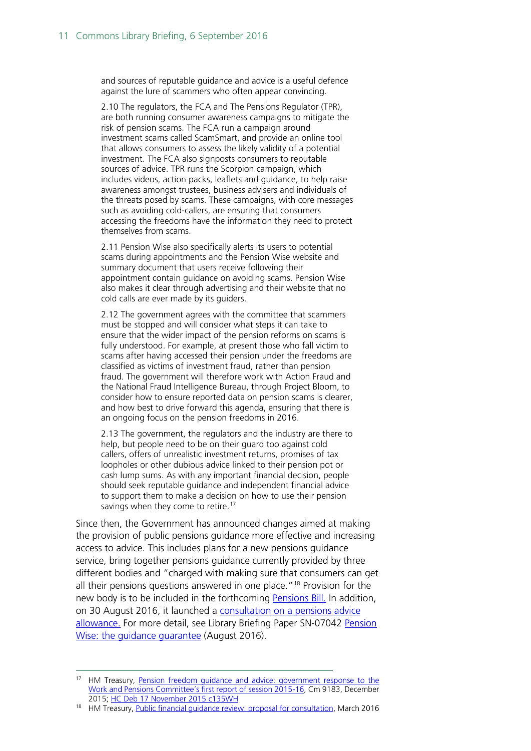and sources of reputable guidance and advice is a useful defence against the lure of scammers who often appear convincing.

2.10 The regulators, the FCA and The Pensions Regulator (TPR), are both running consumer awareness campaigns to mitigate the risk of pension scams. The FCA run a campaign around investment scams called ScamSmart, and provide an online tool that allows consumers to assess the likely validity of a potential investment. The FCA also signposts consumers to reputable sources of advice. TPR runs the Scorpion campaign, which includes videos, action packs, leaflets and guidance, to help raise awareness amongst trustees, business advisers and individuals of the threats posed by scams. These campaigns, with core messages such as avoiding cold-callers, are ensuring that consumers accessing the freedoms have the information they need to protect themselves from scams.

2.11 Pension Wise also specifically alerts its users to potential scams during appointments and the Pension Wise website and summary document that users receive following their appointment contain guidance on avoiding scams. Pension Wise also makes it clear through advertising and their website that no cold calls are ever made by its guiders.

2.12 The government agrees with the committee that scammers must be stopped and will consider what steps it can take to ensure that the wider impact of the pension reforms on scams is fully understood. For example, at present those who fall victim to scams after having accessed their pension under the freedoms are classified as victims of investment fraud, rather than pension fraud. The government will therefore work with Action Fraud and the National Fraud Intelligence Bureau, through Project Bloom, to consider how to ensure reported data on pension scams is clearer, and how best to drive forward this agenda, ensuring that there is an ongoing focus on the pension freedoms in 2016.

2.13 The government, the regulators and the industry are there to help, but people need to be on their guard too against cold callers, offers of unrealistic investment returns, promises of tax loopholes or other dubious advice linked to their pension pot or cash lump sums. As with any important financial decision, people should seek reputable guidance and independent financial advice to support them to make a decision on how to use their pension savings when they come to retire.<sup>[17](#page-10-0)</sup>

Since then, the Government has announced changes aimed at making the provision of public pensions guidance more effective and increasing access to advice. This includes plans for a new pensions guidance service, bring together pensions guidance currently provided by three different bodies and "charged with making sure that consumers can get all their pensions questions answered in one place."<sup>[18](#page-10-1)</sup> Provision for the new body is to be included in the forthcoming [Pensions Bill.](https://www.gov.uk/government/uploads/system/uploads/attachment_data/file/524040/Queen_s_Speech_2016_background_notes_.pdf#page=30) In addition, on 30 August 2016, it launched a [consultation on a pensions advice](https://www.gov.uk/government/news/new-government-advice-allowance-to-make-retirement-planning-easier)  [allowance.](https://www.gov.uk/government/news/new-government-advice-allowance-to-make-retirement-planning-easier) For more detail, see Library Briefing Paper SN-07042 [Pension](http://researchbriefings.parliament.uk/ResearchBriefing/Summary/SN07042)  Wise: the quidance quarantee (August 2016).

<span id="page-10-0"></span><sup>&</sup>lt;sup>17</sup> HM Treasury, Pension freedom quidance and advice: government response to the [Work and Pensions Committee's first report of session 2015-16,](https://www.gov.uk/government/uploads/system/uploads/attachment_data/file/486158/WPSC_response_final_web.pdf) Cm 9183, December 2015; [HC Deb 17 November 2015 c135WH](http://www.publications.parliament.uk/pa/cm201516/cmhansrd/cm151117/halltext/151117h0002.htm)

<span id="page-10-1"></span><sup>&</sup>lt;sup>18</sup> HM Treasury, Public financial quidance review: proposal for consultation, March 2016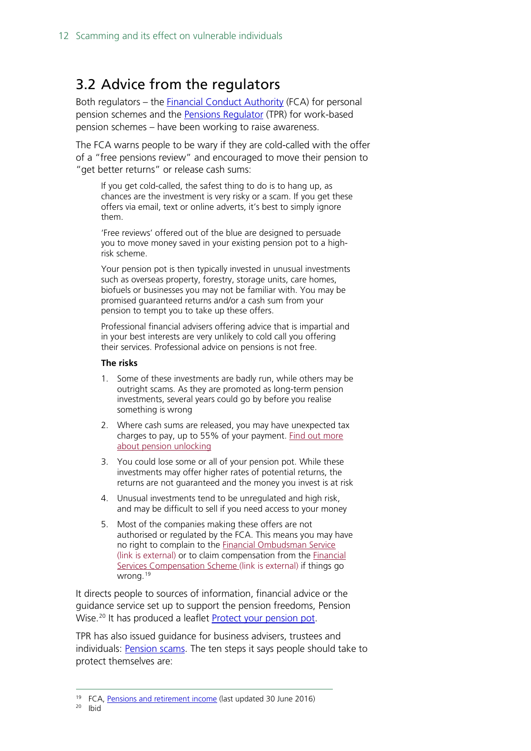## <span id="page-11-0"></span>3.2 Advice from the regulators

Both regulators - the **Financial Conduct Authority** (FCA) for personal pension schemes and the [Pensions Regulator](http://www.thepensionsregulator.gov.uk/) (TPR) for work-based pension schemes – have been working to raise awareness.

The FCA warns people to be wary if they are cold-called with the offer of a "free pensions review" and encouraged to move their pension to "get better returns" or release cash sums:

If you get cold-called, the safest thing to do is to hang up, as chances are the investment is very risky or a scam. If you get these offers via email, text or online adverts, it's best to simply ignore them.

'Free reviews' offered out of the blue are designed to persuade you to move money saved in your existing pension pot to a highrisk scheme.

Your pension pot is then typically invested in unusual investments such as overseas property, forestry, storage units, care homes, biofuels or businesses you may not be familiar with. You may be promised guaranteed returns and/or a cash sum from your pension to tempt you to take up these offers.

Professional financial advisers offering advice that is impartial and in your best interests are very unlikely to cold call you offering their services. Professional advice on pensions is not free.

#### **The risks**

- 1. Some of these investments are badly run, while others may be outright scams. As they are promoted as long-term pension investments, several years could go by before you realise something is wrong
- 2. Where cash sums are released, you may have unexpected tax charges to pay, up to 55% of your payment. [Find out more](https://www.the-fca.org.uk/consumers/pension-unlocking)  [about pension unlocking](https://www.the-fca.org.uk/consumers/pension-unlocking)
- 3. You could lose some or all of your pension pot. While these investments may offer higher rates of potential returns, the returns are not guaranteed and the money you invest is at risk
- 4. Unusual investments tend to be unregulated and high risk, and may be difficult to sell if you need access to your money
- 5. Most of the companies making these offers are not authorised or regulated by the FCA. This means you may have no right to complain to the [Financial Ombudsman Service](http://www.financial-ombudsman.org.uk/)  [\(link is external\)](http://www.financial-ombudsman.org.uk/) or to claim compensation from the [Financial](http://www.fscs.org.uk/)  [Services Compensation Scheme \(link is external\)](http://www.fscs.org.uk/) if things go wrong. [19](#page-11-1)

It directs people to sources of information, financial advice or the guidance service set up to support the pension freedoms, Pension Wise.<sup>[20](#page-11-2)</sup> It has produced a leaflet **Protect your pension pot.** 

TPR has also issued guidance for business advisers, trustees and individuals: **Pension scams**. The ten steps it says people should take to protect themselves are:

<span id="page-11-2"></span><span id="page-11-1"></span><sup>&</sup>lt;sup>19</sup> FCA, **Pensions and retirement income** (last updated 30 June 2016)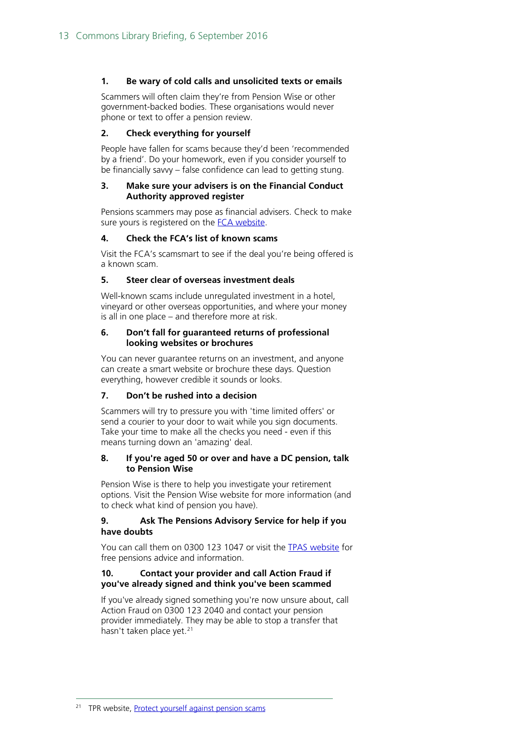#### **1. Be wary of cold calls and unsolicited texts or emails**

Scammers will often claim they're from Pension Wise or other government-backed bodies. These organisations would never phone or text to offer a pension review.

#### **2. Check everything for yourself**

People have fallen for scams because they'd been 'recommended by a friend'. Do your homework, even if you consider yourself to be financially savvy – false confidence can lead to getting stung.

#### **3. Make sure your advisers is on the Financial Conduct Authority approved register**

Pensions scammers may pose as financial advisers. Check to make sure yours is registered on the [FCA website.](https://www.the-fca.org.uk/firms/financial-services-register)

#### **4. Check the FCA's list of known scams**

Visit the FCA's scamsmart to see if the deal you're being offered is a known scam.

#### **5. Steer clear of overseas investment deals**

Well-known scams include unregulated investment in a hotel, vineyard or other overseas opportunities, and where your money is all in one place – and therefore more at risk.

#### **6. Don't fall for guaranteed returns of professional looking websites or brochures**

You can never guarantee returns on an investment, and anyone can create a smart website or brochure these days. Question everything, however credible it sounds or looks.

#### **7. Don't be rushed into a decision**

Scammers will try to pressure you with 'time limited offers' or send a courier to your door to wait while you sign documents. Take your time to make all the checks you need - even if this means turning down an 'amazing' deal.

#### **8. If you're aged 50 or over and have a DC pension, talk to Pension Wise**

Pension Wise is there to help you investigate your retirement options. Visit the Pension Wise website for more information (and to check what kind of pension you have).

#### **9. Ask The Pensions Advisory Service for help if you have doubts**

You can call them on 0300 123 1047 or visit the [TPAS website](http://www.pensionsadvisoryservice.org.uk/) for free pensions advice and information.

#### **10. Contact your provider and call Action Fraud if you've already signed and think you've been scammed**

If you've already signed something you're now unsure about, call Action Fraud on 0300 123 2040 and contact your pension provider immediately. They may be able to stop a transfer that hasn't taken place yet.<sup>[21](#page-12-0)</sup>

<span id="page-12-0"></span><sup>21</sup> TPR website, **Protect yourself against pension scams**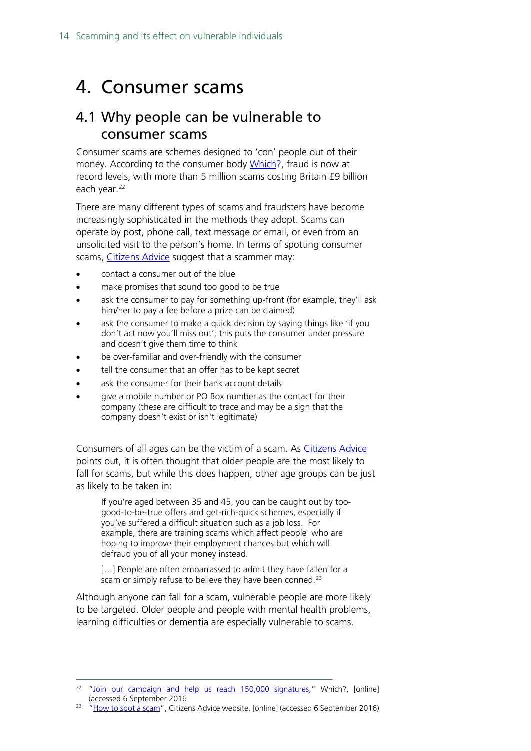# <span id="page-13-0"></span>4. Consumer scams

## <span id="page-13-1"></span>4.1 Why people can be vulnerable to consumer scams

Consumer scams are schemes designed to 'con' people out of their money. According to the consumer body [Which?,](http://www.which.co.uk/consumer-rights/scams) fraud is now at record levels, with more than 5 million scams costing Britain £9 billion each year.<sup>[22](#page-13-2)</sup>

There are many different types of scams and fraudsters have become increasingly sophisticated in the methods they adopt. Scams can operate by post, phone call, text message or email, or even from an unsolicited visit to the person's home. In terms of spotting consumer scams, [Citizens Advice](https://www.citizensadvice.org.uk/consumer/scams/scams/spotting-and-reporting-scams/how-to-spot-a-scam/) suggest that a scammer may:

- contact a consumer out of the blue
- make promises that sound too good to be true
- ask the consumer to pay for something up-front (for example, they'll ask him/her to pay a fee before a prize can be claimed)
- ask the consumer to make a quick decision by saying things like 'if you don't act now you'll miss out'; this puts the consumer under pressure and doesn't give them time to think
- be over-familiar and over-friendly with the consumer
- tell the consumer that an offer has to be kept secret
- ask the consumer for their bank account details
- give a mobile number or PO Box number as the contact for their company (these are difficult to trace and may be a sign that the company doesn't exist or isn't legitimate)

Consumers of all ages can be the victim of a scam. As [Citizens Advice](https://www.citizensadvice.org.uk/consumer/scams/scams/spotting-and-reporting-scams/how-to-spot-a-scam/) points out, it is often thought that older people are the most likely to fall for scams, but while this does happen, other age groups can be just as likely to be taken in:

If you're aged between 35 and 45, you can be caught out by toogood-to-be-true offers and get-rich-quick schemes, especially if you've suffered a difficult situation such as a job loss. For example, there are training scams which affect people who are hoping to improve their employment chances but which will defraud you of all your money instead.

[...] People are often embarrassed to admit they have fallen for a scam or simply refuse to believe they have been conned.<sup>[23](#page-13-3)</sup>

Although anyone can fall for a scam, vulnerable people are more likely to be targeted. Older people and people with mental health problems, learning difficulties or dementia are especially vulnerable to scams.

<span id="page-13-2"></span> $22$  ["Join our campaign and help us reach 150,000 signatures,](http://www.which.co.uk/consumer-rights/scams)" Which?, [online] (accessed 6 September 2016

<span id="page-13-3"></span><sup>&</sup>lt;sup>23</sup> ["How to spot a scam"](https://www.citizensadvice.org.uk/consumer/scams/scams/spotting-and-reporting-scams/how-to-spot-a-scam/), Citizens Advice website, [online] (accessed 6 September 2016)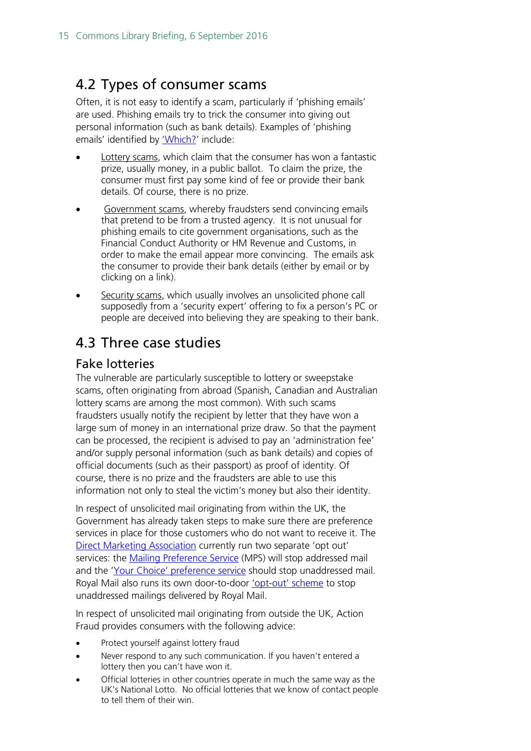## <span id="page-14-0"></span>4.2 Types of consumer scams

Often, it is not easy to identify a scam, particularly if 'phishing emails' are used. Phishing emails try to trick the consumer into giving out personal information (such as bank details). Examples of 'phishing emails' identified by ['Which?'](http://www.which.co.uk/consumer-rights/advice/how-do-i-know-if-an-email-ive-received-is-a-phishing-email) include:

- Lottery scams, which claim that the consumer has won a fantastic prize, usually money, in a public ballot. To claim the prize, the consumer must first pay some kind of fee or provide their bank details. Of course, there is no prize.
- Government scams, whereby fraudsters send convincing emails that pretend to be from a trusted agency. It is not unusual for phishing emails to cite government organisations, such as the Financial Conduct Authority or HM Revenue and Customs, in order to make the email appear more convincing. The emails ask the consumer to provide their bank details (either by email or by clicking on a link).
- Security scams, which usually involves an unsolicited phone call supposedly from a 'security expert' offering to fix a person's PC or people are deceived into believing they are speaking to their bank.

# <span id="page-14-1"></span>4.3 Three case studies

### <span id="page-14-2"></span>Fake lotteries

The vulnerable are particularly susceptible to lottery or sweepstake scams, often originating from abroad (Spanish, Canadian and Australian lottery scams are among the most common). With such scams fraudsters usually notify the recipient by letter that they have won a large sum of money in an international prize draw. So that the payment can be processed, the recipient is advised to pay an 'administration fee' and/or supply personal information (such as bank details) and copies of official documents (such as their passport) as proof of identity. Of course, there is no prize and the fraudsters are able to use this information not only to steal the victim's money but also their identity.

In respect of unsolicited mail originating from within the UK, the Government has already taken steps to make sure there are preference services in place for those customers who do not want to receive it. The [Direct Marketing Association](http://dma.org.uk/) currently run two separate 'opt out' services: the [Mailing Preference Service](http://www.mpsonline.org.uk/mpsr/what/) (MPS) will stop addressed mail and the ['Your Choice' preference service](http://www.mpsonline.org.uk/mpsr/yourchoice/) should stop unaddressed mail. Royal Mail also runs its own door-to-door ['opt-out' scheme](https://personal.help.royalmail.com/app/answers/detail/a_id/293/%7E/how-do-i-opt-out-of-receiving-any-leaflets-or-unaddressed-promotional-material%3F) to stop unaddressed mailings delivered by Royal Mail.

In respect of unsolicited mail originating from outside the UK, Action Fraud provides consumers with the following advice:

- Protect yourself against lottery fraud
- Never respond to any such communication. If you haven't entered a lottery then you can't have won it.
- Official lotteries in other countries operate in much the same way as the UK's National Lotto. No official lotteries that we know of contact people to tell them of their win.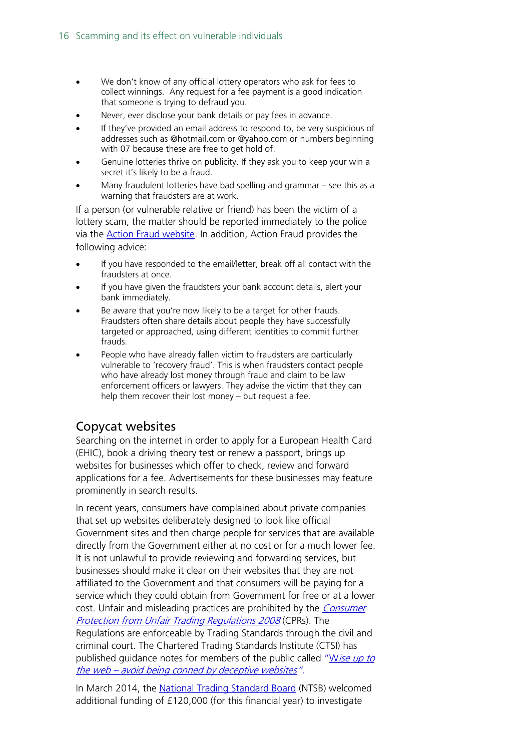- We don't know of any official lottery operators who ask for fees to collect winnings. Any request for a fee payment is a good indication that someone is trying to defraud you.
- Never, ever disclose your bank details or pay fees in advance.
- If they've provided an email address to respond to, be very suspicious of addresses such as @hotmail.com or @yahoo.com or numbers beginning with 07 because these are free to get hold of.
- Genuine lotteries thrive on publicity. If they ask you to keep your win a secret it's likely to be a fraud.
- Many fraudulent lotteries have bad spelling and grammar see this as a warning that fraudsters are at work.

If a person (or vulnerable relative or friend) has been the victim of a lottery scam, the matter should be reported immediately to the police via the [Action Fraud website.](https://reportlite.actionfraud.police.uk/) In addition, Action Fraud provides the following advice:

- If you have responded to the email/letter, break off all contact with the fraudsters at once.
- If you have given the fraudsters your bank account details, alert your bank immediately.
- Be aware that you're now likely to be a target for other frauds. Fraudsters often share details about people they have successfully targeted or approached, using different identities to commit further frauds.
- People who have already fallen victim to fraudsters are particularly vulnerable to 'recovery fraud'. This is when fraudsters contact people who have already lost money through fraud and claim to be law enforcement officers or lawyers. They advise the victim that they can help them recover their lost money – but request a fee.

### <span id="page-15-0"></span>Copycat websites

Searching on the internet in order to apply for a European Health Card (EHIC), book a driving theory test or renew a passport, brings up websites for businesses which offer to check, review and forward applications for a fee. Advertisements for these businesses may feature prominently in search results.

In recent years, consumers have complained about private companies that set up websites deliberately designed to look like official Government sites and then charge people for services that are available directly from the Government either at no cost or for a much lower fee. It is not unlawful to provide reviewing and forwarding services, but businesses should make it clear on their websites that they are not affiliated to the Government and that consumers will be paying for a service which they could obtain from Government for free or at a lower cost. Unfair and misleading practices are prohibited by the *Consumer* [Protection from Unfair Trading Regulations 2008](http://www.legislation.gov.uk/uksi/2008/1277/contents/made) (CPRs). The Regulations are enforceable by Trading Standards through the civil and criminal court. The Chartered Trading Standards Institute (CTSI) has published guidance notes for members of the public called "Wise up to the web - [avoid being conned by deceptive websites".](http://www.tradingstandards.uk/extra/news-item.cfm/newsid/1566)

In March 2014, the [National Trading Standard Board](http://www.nationaltradingstandards.uk/what-we-do/national-trading-standards-board/) (NTSB) welcomed additional funding of £120,000 (for this financial year) to investigate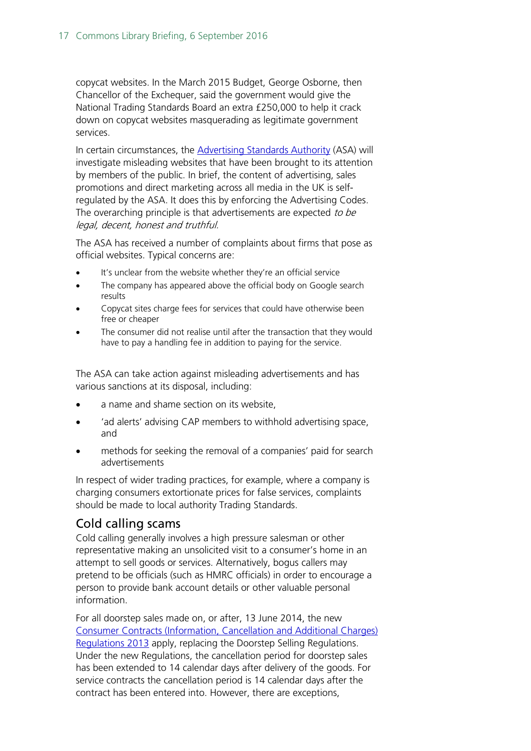copycat websites. In the March 2015 Budget, George Osborne, then Chancellor of the Exchequer, said the government would give the National Trading Standards Board an extra £250,000 to help it crack down on copycat websites masquerading as legitimate government services.

In certain circumstances, the **Advertising Standards Authority** (ASA) will investigate misleading websites that have been brought to its attention by members of the public. In brief, the content of advertising, sales promotions and direct marketing across all media in the UK is selfregulated by the ASA. It does this by enforcing the Advertising Codes. The overarching principle is that advertisements are expected to be legal, decent, honest and truthful.

The ASA has received a number of complaints about firms that pose as official websites. Typical concerns are:

- It's unclear from the website whether they're an official service
- The company has appeared above the official body on Google search results
- Copycat sites charge fees for services that could have otherwise been free or cheaper
- The consumer did not realise until after the transaction that they would have to pay a handling fee in addition to paying for the service.

The ASA can take action against misleading advertisements and has various sanctions at its disposal, including:

- a name and shame section on its website,
- 'ad alerts' advising CAP members to withhold advertising space, and
- methods for seeking the removal of a companies' paid for search advertisements

In respect of wider trading practices, for example, where a company is charging consumers extortionate prices for false services, complaints should be made to local authority Trading Standards.

### <span id="page-16-0"></span>Cold calling scams

Cold calling generally involves a high pressure salesman or other representative making an unsolicited visit to a consumer's home in an attempt to sell goods or services. Alternatively, bogus callers may pretend to be officials (such as HMRC officials) in order to encourage a person to provide bank account details or other valuable personal information.

For all doorstep sales made on, or after, 13 June 2014, the new [Consumer Contracts \(Information, Cancellation and Additional Charges\)](http://www.legislation.gov.uk/uksi/2013/3134/pdfs/uksi_20133134_en.pdf)  [Regulations 2013](http://www.legislation.gov.uk/uksi/2013/3134/pdfs/uksi_20133134_en.pdf) apply, replacing the Doorstep Selling Regulations. Under the new Regulations, the cancellation period for doorstep sales has been extended to 14 calendar days after delivery of the goods. For service contracts the cancellation period is 14 calendar days after the contract has been entered into. However, there are exceptions,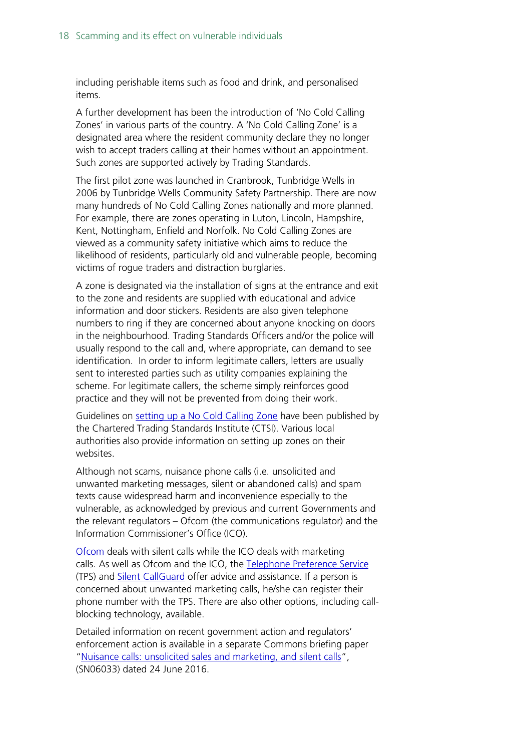including perishable items such as food and drink, and personalised items.

A further development has been the introduction of 'No Cold Calling Zones' in various parts of the country. A 'No Cold Calling Zone' is a designated area where the resident community declare they no longer wish to accept traders calling at their homes without an appointment. Such zones are supported actively by Trading Standards.

The first pilot zone was launched in Cranbrook, Tunbridge Wells in 2006 by Tunbridge Wells Community Safety Partnership. There are now many hundreds of No Cold Calling Zones nationally and more planned. For example, there are zones operating in Luton, Lincoln, Hampshire, Kent, Nottingham, Enfield and Norfolk. No Cold Calling Zones are viewed as a community safety initiative which aims to reduce the likelihood of residents, particularly old and vulnerable people, becoming victims of rogue traders and distraction burglaries.

A zone is designated via the installation of signs at the entrance and exit to the zone and residents are supplied with educational and advice information and door stickers. Residents are also given telephone numbers to ring if they are concerned about anyone knocking on doors in the neighbourhood. Trading Standards Officers and/or the police will usually respond to the call and, where appropriate, can demand to see identification. In order to inform legitimate callers, letters are usually sent to interested parties such as utility companies explaining the scheme. For legitimate callers, the scheme simply reinforces good practice and they will not be prevented from doing their work.

Guidelines on [setting up a No Cold Calling Zone](http://www.tradingstandards.uk/policy/doorstopperswelcome.cfm) have been published by the Chartered Trading Standards Institute (CTSI). Various local authorities also provide information on setting up zones on their websites.

Although not scams, nuisance phone calls (i.e. unsolicited and unwanted marketing messages, silent or abandoned calls) and spam texts cause widespread harm and inconvenience especially to the vulnerable, as acknowledged by previous and current Governments and the relevant regulators – Ofcom (the communications regulator) and the Information Commissioner's Office (ICO).

[Ofcom](http://www.ofcom.org.uk/) deals with silent calls while the ICO deals with marketing calls. As well as Ofcom and the ICO, the [Telephone Preference Service](http://www.tpsonline.org.uk/tps/index.html) (TPS) and [Silent CallGuard](http://www.silentgard.com/index2.html) offer advice and assistance. If a person is concerned about unwanted marketing calls, he/she can register their phone number with the TPS. There are also other options, including callblocking technology, available.

Detailed information on recent government action and regulators' enforcement action is available in a separate Commons briefing paper ["Nuisance calls: unsolicited sales and marketing, and silent calls"](http://researchbriefings.parliament.uk/ResearchBriefing/Summary/SN06033), (SN06033) dated 24 June 2016.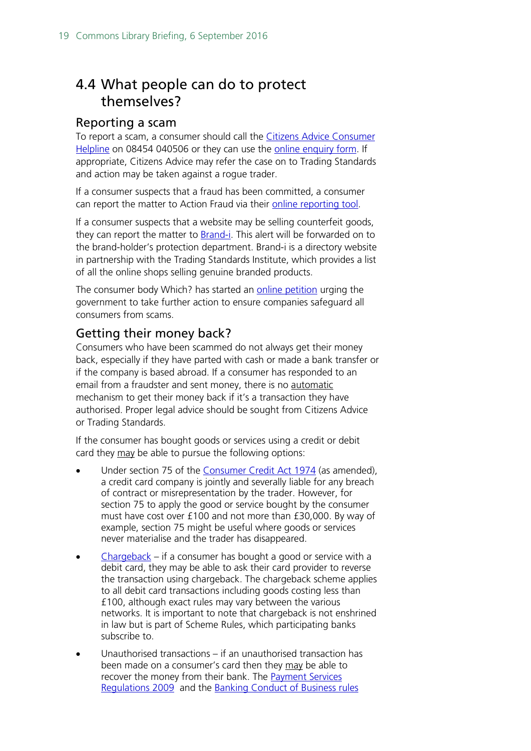# <span id="page-18-0"></span>4.4 What people can do to protect themselves?

### <span id="page-18-1"></span>Reporting a scam

To report a scam, a consumer should call the Citizens Advice Consumer [Helpline](https://www.citizensadvice.org.uk/consumer/get-more-help/if-you-need-more-help-about-a-consumer-issue/) on 08454 040506 or they can use the [online enquiry form.](https://ssl.datamotion.com/form.aspx?co=3438&frm=citacomplainform&to=flare.fromforms) If appropriate, Citizens Advice may refer the case on to Trading Standards and action may be taken against a rogue trader.

If a consumer suspects that a fraud has been committed, a consumer can report the matter to Action Fraud via their [online reporting tool.](http://www.actionfraud.police.uk/)

If a consumer suspects that a website may be selling counterfeit goods, they can report the matter to [Brand-i.](https://www.brand-i.org/) This alert will be forwarded on to the brand-holder's protection department. Brand-i is a directory website in partnership with the Trading Standards Institute, which provides a list of all the online shops selling genuine branded products.

The consumer body Which? has started an [online petition](http://www.which.co.uk/consumer-rights/scams) urging the government to take further action to ensure companies safeguard all consumers from scams.

### <span id="page-18-2"></span>Getting their money back?

Consumers who have been scammed do not always get their money back, especially if they have parted with cash or made a bank transfer or if the company is based abroad. If a consumer has responded to an email from a fraudster and sent money, there is no automatic mechanism to get their money back if it's a transaction they have authorised. Proper legal advice should be sought from Citizens Advice or Trading Standards.

If the consumer has bought goods or services using a credit or debit card they may be able to pursue the following options:

- Under section 75 of the [Consumer Credit Act 1974](http://www.legislation.gov.uk/ukpga/1974/39/contents) (as amended), a credit card company is jointly and severally liable for any breach of contract or misrepresentation by the trader. However, for section 75 to apply the good or service bought by the consumer must have cost over £100 and not more than £30,000. By way of example, section 75 might be useful where goods or services never materialise and the trader has disappeared.
- [Chargeback](http://www.which.co.uk/consumer-rights/advice/how-do-i-use-chargeback) if a consumer has bought a good or service with a debit card, they may be able to ask their card provider to reverse the transaction using chargeback. The chargeback scheme applies to all debit card transactions including goods costing less than £100, although exact rules may vary between the various networks. It is important to note that chargeback is not enshrined in law but is part of Scheme Rules, which participating banks subscribe to.
- Unauthorised transactions if an unauthorised transaction has been made on a consumer's card then they may be able to recover the money from their bank. The **Payment Services** [Regulations 2009](http://www.legislation.gov.uk/uksi/2009/209/pdfs/uksi_20090209_en.pdf) and the [Banking Conduct of Business rules](https://www.handbook.fca.org.uk/handbook/BCOBS.pdf)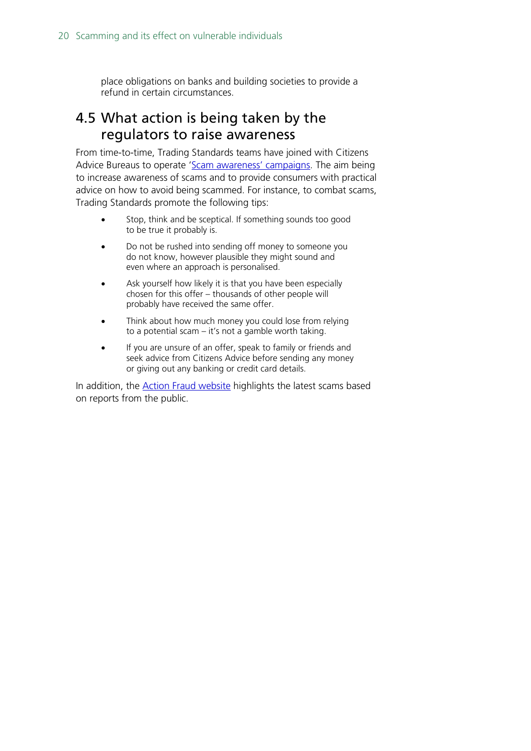place obligations on banks and building societies to provide a refund in certain circumstances.

## <span id="page-19-0"></span>4.5 What action is being taken by the regulators to raise awareness

From time-to-time, Trading Standards teams have joined with Citizens Advice Bureaus to operate ['Scam awareness' campaigns.](http://www.tradingstandards.uk/events/ScamsAwarenessMonth2015.cfm) The aim being to increase awareness of scams and to provide consumers with practical advice on how to avoid being scammed. For instance, to combat scams, Trading Standards promote the following tips:

- Stop, think and be sceptical. If something sounds too good to be true it probably is.
- Do not be rushed into sending off money to someone you do not know, however plausible they might sound and even where an approach is personalised.
- Ask yourself how likely it is that you have been especially chosen for this offer – thousands of other people will probably have received the same offer.
- Think about how much money you could lose from relying to a potential scam – it's not a gamble worth taking.
- If you are unsure of an offer, speak to family or friends and seek advice from Citizens Advice before sending any money or giving out any banking or credit card details.

In addition, the **Action Fraud website** highlights the latest scams based on reports from the public.